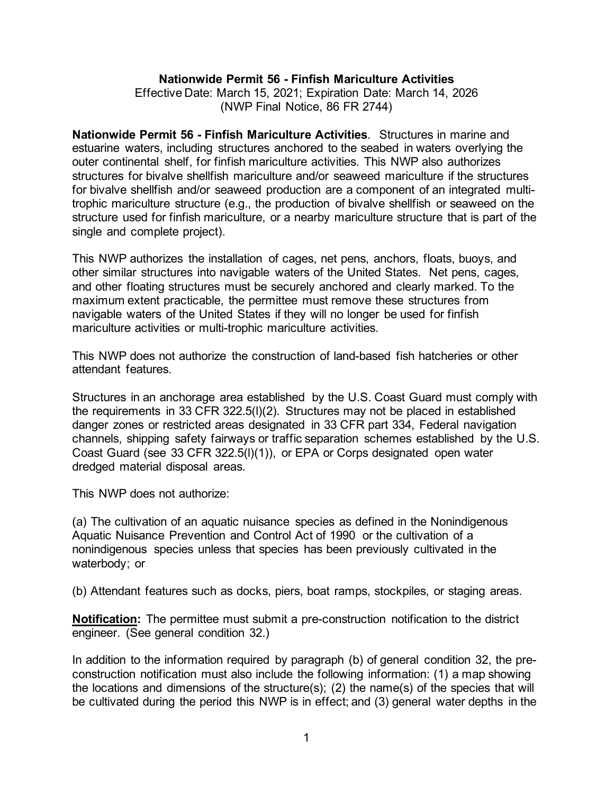#### **Nationwide Permit 56 - Finfish Mariculture Activities**

Effective Date: March 15, 2021; Expiration Date: March 14, 2026 (NWP Final Notice, 86 FR 2744)

**Nationwide Permit 56 - Finfish Mariculture Activities**. Structures in marine and estuarine waters, including structures anchored to the seabed in waters overlying the outer continental shelf, for finfish mariculture activities. This NWP also authorizes structures for bivalve shellfish mariculture and/or seaweed mariculture if the structures for bivalve shellfish and/or seaweed production are a component of an integrated multitrophic mariculture structure (e.g., the production of bivalve shellfish or seaweed on the structure used for finfish mariculture, or a nearby mariculture structure that is part of the single and complete project).

This NWP authorizes the installation of cages, net pens, anchors, floats, buoys, and other similar structures into navigable waters of the United States. Net pens, cages, and other floating structures must be securely anchored and clearly marked. To the maximum extent practicable, the permittee must remove these structures from navigable waters of the United States if they will no longer be used for finfish mariculture activities or multi-trophic mariculture activities.

This NWP does not authorize the construction of land-based fish hatcheries or other attendant features.

Structures in an anchorage area established by the U.S. Coast Guard must comply with the requirements in 33 CFR 322.5(l)(2). Structures may not be placed in established danger zones or restricted areas designated in 33 CFR part 334, Federal navigation channels, shipping safety fairways or traffic separation schemes established by the U.S. Coast Guard (see 33 CFR 322.5(l)(1)), or EPA or Corps designated open water dredged material disposal areas.

This NWP does not authorize:

(a) The cultivation of an aquatic nuisance species as defined in the Nonindigenous Aquatic Nuisance Prevention and Control Act of 1990 or the cultivation of a nonindigenous species unless that species has been previously cultivated in the waterbody; or

(b) Attendant features such as docks, piers, boat ramps, stockpiles, or staging areas.

**Notification:** The permittee must submit a pre-construction notification to the district engineer. (See general condition 32.)

In addition to the information required by paragraph (b) of general condition 32, the preconstruction notification must also include the following information: (1) a map showing the locations and dimensions of the structure(s); (2) the name(s) of the species that will be cultivated during the period this NWP is in effect; and (3) general water depths in the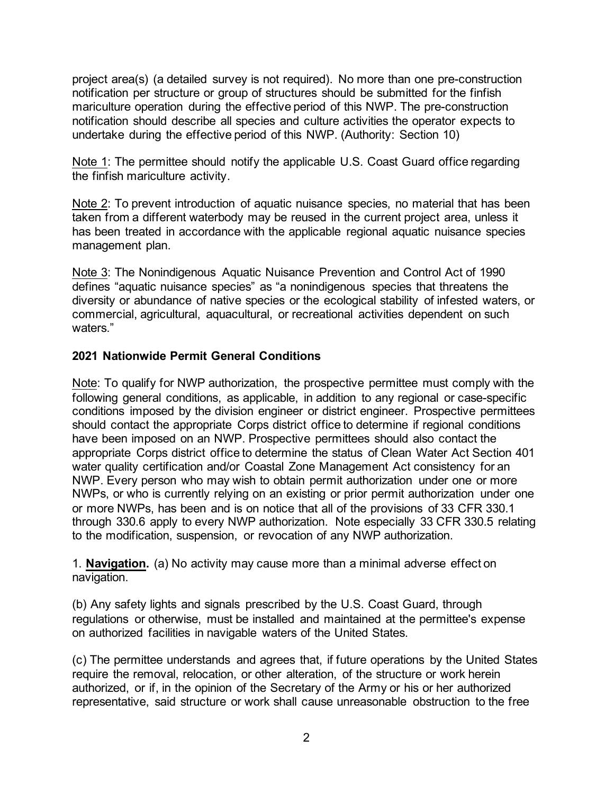project area(s) (a detailed survey is not required). No more than one pre-construction notification per structure or group of structures should be submitted for the finfish mariculture operation during the effective period of this NWP. The pre-construction notification should describe all species and culture activities the operator expects to undertake during the effective period of this NWP. (Authority: Section 10)

Note 1: The permittee should notify the applicable U.S. Coast Guard office regarding the finfish mariculture activity.

Note 2: To prevent introduction of aquatic nuisance species, no material that has been taken from a different waterbody may be reused in the current project area, unless it has been treated in accordance with the applicable regional aquatic nuisance species management plan.

Note 3: The Nonindigenous Aquatic Nuisance Prevention and Control Act of 1990 defines "aquatic nuisance species" as "a nonindigenous species that threatens the diversity or abundance of native species or the ecological stability of infested waters, or commercial, agricultural, aquacultural, or recreational activities dependent on such waters."

# **2021 Nationwide Permit General Conditions**

Note: To qualify for NWP authorization, the prospective permittee must comply with the following general conditions, as applicable, in addition to any regional or case-specific conditions imposed by the division engineer or district engineer. Prospective permittees should contact the appropriate Corps district office to determine if regional conditions have been imposed on an NWP. Prospective permittees should also contact the appropriate Corps district office to determine the status of Clean Water Act Section 401 water quality certification and/or Coastal Zone Management Act consistency for an NWP. Every person who may wish to obtain permit authorization under one or more NWPs, or who is currently relying on an existing or prior permit authorization under one or more NWPs, has been and is on notice that all of the provisions of 33 CFR 330.1 through 330.6 apply to every NWP authorization. Note especially 33 CFR 330.5 relating to the modification, suspension, or revocation of any NWP authorization.

1. **Navigation.** (a) No activity may cause more than a minimal adverse effect on navigation.

(b) Any safety lights and signals prescribed by the U.S. Coast Guard, through regulations or otherwise, must be installed and maintained at the permittee's expense on authorized facilities in navigable waters of the United States.

(c) The permittee understands and agrees that, if future operations by the United States require the removal, relocation, or other alteration, of the structure or work herein authorized, or if, in the opinion of the Secretary of the Army or his or her authorized representative, said structure or work shall cause unreasonable obstruction to the free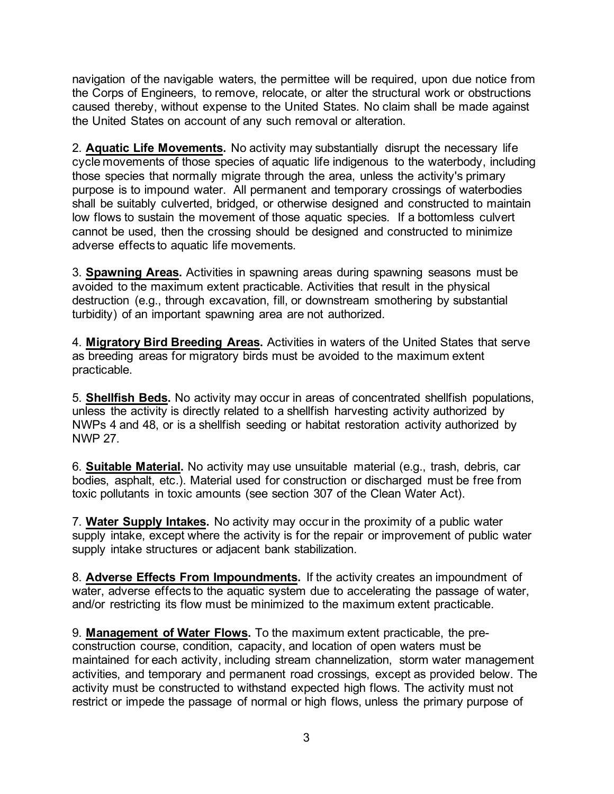navigation of the navigable waters, the permittee will be required, upon due notice from the Corps of Engineers, to remove, relocate, or alter the structural work or obstructions caused thereby, without expense to the United States. No claim shall be made against the United States on account of any such removal or alteration.

2. **Aquatic Life Movements.** No activity may substantially disrupt the necessary life cycle movements of those species of aquatic life indigenous to the waterbody, including those species that normally migrate through the area, unless the activity's primary purpose is to impound water. All permanent and temporary crossings of waterbodies shall be suitably culverted, bridged, or otherwise designed and constructed to maintain low flows to sustain the movement of those aquatic species. If a bottomless culvert cannot be used, then the crossing should be designed and constructed to minimize adverse effects to aquatic life movements.

3. **Spawning Areas.** Activities in spawning areas during spawning seasons must be avoided to the maximum extent practicable. Activities that result in the physical destruction (e.g., through excavation, fill, or downstream smothering by substantial turbidity) of an important spawning area are not authorized.

4. **Migratory Bird Breeding Areas.** Activities in waters of the United States that serve as breeding areas for migratory birds must be avoided to the maximum extent practicable.

5. **Shellfish Beds.** No activity may occur in areas of concentrated shellfish populations, unless the activity is directly related to a shellfish harvesting activity authorized by NWPs 4 and 48, or is a shellfish seeding or habitat restoration activity authorized by NWP 27.

6. **Suitable Material.** No activity may use unsuitable material (e.g., trash, debris, car bodies, asphalt, etc.). Material used for construction or discharged must be free from toxic pollutants in toxic amounts (see section 307 of the Clean Water Act).

7. **Water Supply Intakes.** No activity may occur in the proximity of a public water supply intake, except where the activity is for the repair or improvement of public water supply intake structures or adjacent bank stabilization.

8. **Adverse Effects From Impoundments.** If the activity creates an impoundment of water, adverse effects to the aquatic system due to accelerating the passage of water, and/or restricting its flow must be minimized to the maximum extent practicable.

9. **Management of Water Flows.** To the maximum extent practicable, the preconstruction course, condition, capacity, and location of open waters must be maintained for each activity, including stream channelization, storm water management activities, and temporary and permanent road crossings, except as provided below. The activity must be constructed to withstand expected high flows. The activity must not restrict or impede the passage of normal or high flows, unless the primary purpose of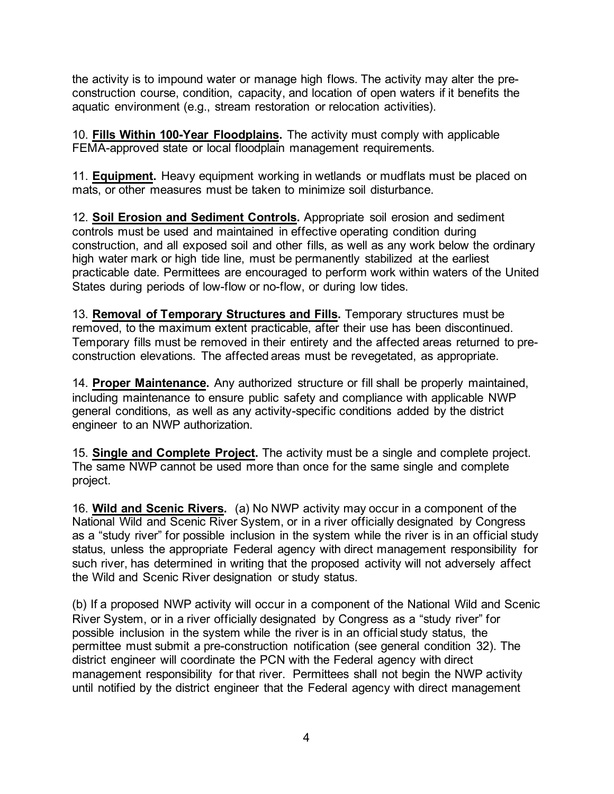the activity is to impound water or manage high flows. The activity may alter the preconstruction course, condition, capacity, and location of open waters if it benefits the aquatic environment (e.g., stream restoration or relocation activities).

10. **Fills Within 100-Year Floodplains.** The activity must comply with applicable FEMA-approved state or local floodplain management requirements.

11. **Equipment.** Heavy equipment working in wetlands or mudflats must be placed on mats, or other measures must be taken to minimize soil disturbance.

12. **Soil Erosion and Sediment Controls.** Appropriate soil erosion and sediment controls must be used and maintained in effective operating condition during construction, and all exposed soil and other fills, as well as any work below the ordinary high water mark or high tide line, must be permanently stabilized at the earliest practicable date. Permittees are encouraged to perform work within waters of the United States during periods of low-flow or no-flow, or during low tides.

13. **Removal of Temporary Structures and Fills.** Temporary structures must be removed, to the maximum extent practicable, after their use has been discontinued. Temporary fills must be removed in their entirety and the affected areas returned to preconstruction elevations. The affected areas must be revegetated, as appropriate.

14. **Proper Maintenance.** Any authorized structure or fill shall be properly maintained, including maintenance to ensure public safety and compliance with applicable NWP general conditions, as well as any activity-specific conditions added by the district engineer to an NWP authorization.

15. **Single and Complete Project.** The activity must be a single and complete project. The same NWP cannot be used more than once for the same single and complete project.

16. **Wild and Scenic Rivers.** (a) No NWP activity may occur in a component of the National Wild and Scenic River System, or in a river officially designated by Congress as a "study river" for possible inclusion in the system while the river is in an official study status, unless the appropriate Federal agency with direct management responsibility for such river, has determined in writing that the proposed activity will not adversely affect the Wild and Scenic River designation or study status.

(b) If a proposed NWP activity will occur in a component of the National Wild and Scenic River System, or in a river officially designated by Congress as a "study river" for possible inclusion in the system while the river is in an official study status, the permittee must submit a pre-construction notification (see general condition 32). The district engineer will coordinate the PCN with the Federal agency with direct management responsibility for that river. Permittees shall not begin the NWP activity until notified by the district engineer that the Federal agency with direct management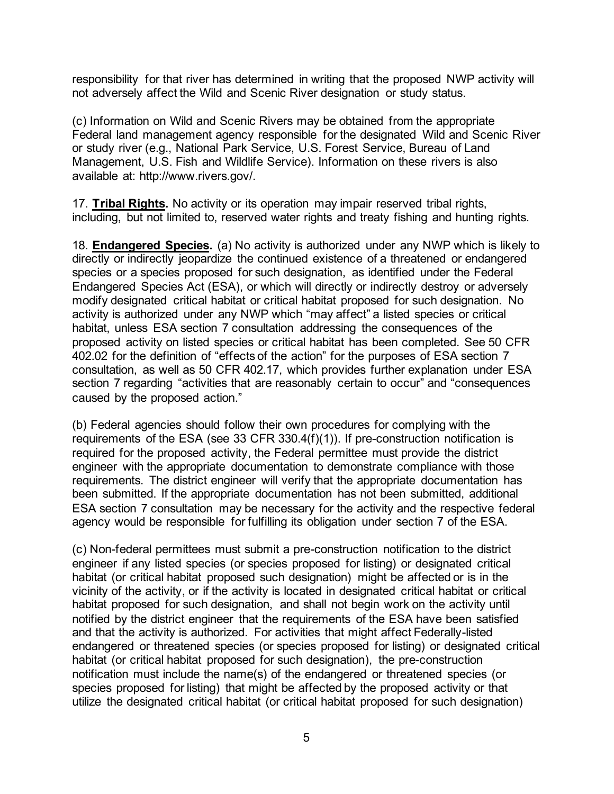responsibility for that river has determined in writing that the proposed NWP activity will not adversely affect the Wild and Scenic River designation or study status.

(c) Information on Wild and Scenic Rivers may be obtained from the appropriate Federal land management agency responsible for the designated Wild and Scenic River or study river (e.g., National Park Service, U.S. Forest Service, Bureau of Land Management, U.S. Fish and Wildlife Service). Information on these rivers is also available at: http://www.rivers.gov/.

17. **Tribal Rights.** No activity or its operation may impair reserved tribal rights, including, but not limited to, reserved water rights and treaty fishing and hunting rights.

18. **Endangered Species.** (a) No activity is authorized under any NWP which is likely to directly or indirectly jeopardize the continued existence of a threatened or endangered species or a species proposed for such designation, as identified under the Federal Endangered Species Act (ESA), or which will directly or indirectly destroy or adversely modify designated critical habitat or critical habitat proposed for such designation. No activity is authorized under any NWP which "may affect" a listed species or critical habitat, unless ESA section 7 consultation addressing the consequences of the proposed activity on listed species or critical habitat has been completed. See 50 CFR 402.02 for the definition of "effects of the action" for the purposes of ESA section 7 consultation, as well as 50 CFR 402.17, which provides further explanation under ESA section 7 regarding "activities that are reasonably certain to occur" and "consequences caused by the proposed action."

(b) Federal agencies should follow their own procedures for complying with the requirements of the ESA (see 33 CFR 330.4(f)(1)). If pre-construction notification is required for the proposed activity, the Federal permittee must provide the district engineer with the appropriate documentation to demonstrate compliance with those requirements. The district engineer will verify that the appropriate documentation has been submitted. If the appropriate documentation has not been submitted, additional ESA section 7 consultation may be necessary for the activity and the respective federal agency would be responsible for fulfilling its obligation under section 7 of the ESA.

(c) Non-federal permittees must submit a pre-construction notification to the district engineer if any listed species (or species proposed for listing) or designated critical habitat (or critical habitat proposed such designation) might be affected or is in the vicinity of the activity, or if the activity is located in designated critical habitat or critical habitat proposed for such designation, and shall not begin work on the activity until notified by the district engineer that the requirements of the ESA have been satisfied and that the activity is authorized. For activities that might affect Federally-listed endangered or threatened species (or species proposed for listing) or designated critical habitat (or critical habitat proposed for such designation), the pre-construction notification must include the name(s) of the endangered or threatened species (or species proposed for listing) that might be affected by the proposed activity or that utilize the designated critical habitat (or critical habitat proposed for such designation)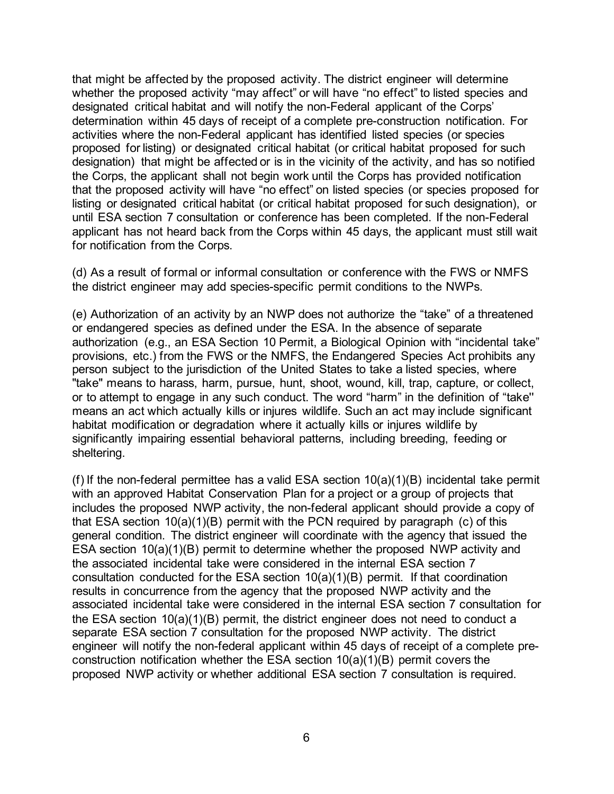that might be affected by the proposed activity. The district engineer will determine whether the proposed activity "may affect" or will have "no effect" to listed species and designated critical habitat and will notify the non-Federal applicant of the Corps' determination within 45 days of receipt of a complete pre-construction notification. For activities where the non-Federal applicant has identified listed species (or species proposed for listing) or designated critical habitat (or critical habitat proposed for such designation) that might be affected or is in the vicinity of the activity, and has so notified the Corps, the applicant shall not begin work until the Corps has provided notification that the proposed activity will have "no effect" on listed species (or species proposed for listing or designated critical habitat (or critical habitat proposed for such designation), or until ESA section 7 consultation or conference has been completed. If the non-Federal applicant has not heard back from the Corps within 45 days, the applicant must still wait for notification from the Corps.

(d) As a result of formal or informal consultation or conference with the FWS or NMFS the district engineer may add species-specific permit conditions to the NWPs.

(e) Authorization of an activity by an NWP does not authorize the "take" of a threatened or endangered species as defined under the ESA. In the absence of separate authorization (e.g., an ESA Section 10 Permit, a Biological Opinion with "incidental take" provisions, etc.) from the FWS or the NMFS, the Endangered Species Act prohibits any person subject to the jurisdiction of the United States to take a listed species, where "take" means to harass, harm, pursue, hunt, shoot, wound, kill, trap, capture, or collect, or to attempt to engage in any such conduct. The word "harm" in the definition of "take'' means an act which actually kills or injures wildlife. Such an act may include significant habitat modification or degradation where it actually kills or injures wildlife by significantly impairing essential behavioral patterns, including breeding, feeding or sheltering.

(f) If the non-federal permittee has a valid ESA section 10(a)(1)(B) incidental take permit with an approved Habitat Conservation Plan for a project or a group of projects that includes the proposed NWP activity, the non-federal applicant should provide a copy of that ESA section 10(a)(1)(B) permit with the PCN required by paragraph (c) of this general condition. The district engineer will coordinate with the agency that issued the ESA section 10(a)(1)(B) permit to determine whether the proposed NWP activity and the associated incidental take were considered in the internal ESA section 7 consultation conducted for the ESA section 10(a)(1)(B) permit. If that coordination results in concurrence from the agency that the proposed NWP activity and the associated incidental take were considered in the internal ESA section 7 consultation for the ESA section 10(a)(1)(B) permit, the district engineer does not need to conduct a separate ESA section 7 consultation for the proposed NWP activity. The district engineer will notify the non-federal applicant within 45 days of receipt of a complete preconstruction notification whether the ESA section 10(a)(1)(B) permit covers the proposed NWP activity or whether additional ESA section 7 consultation is required.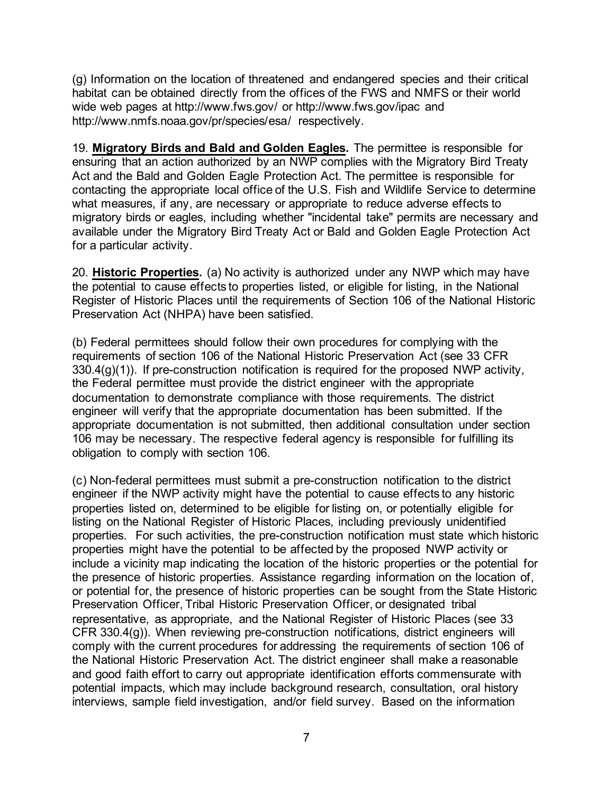(g) Information on the location of threatened and endangered species and their critical habitat can be obtained directly from the offices of the FWS and NMFS or their world wide web pages at http://www.fws.gov/ or http://www.fws.gov/ipac and http://www.nmfs.noaa.gov/pr/species/esa/ respectively.

19. **Migratory Birds and Bald and Golden Eagles.** The permittee is responsible for ensuring that an action authorized by an NWP complies with the Migratory Bird Treaty Act and the Bald and Golden Eagle Protection Act. The permittee is responsible for contacting the appropriate local office of the U.S. Fish and Wildlife Service to determine what measures, if any, are necessary or appropriate to reduce adverse effects to migratory birds or eagles, including whether "incidental take" permits are necessary and available under the Migratory Bird Treaty Act or Bald and Golden Eagle Protection Act for a particular activity.

20. **Historic Properties.** (a) No activity is authorized under any NWP which may have the potential to cause effects to properties listed, or eligible for listing, in the National Register of Historic Places until the requirements of Section 106 of the National Historic Preservation Act (NHPA) have been satisfied.

(b) Federal permittees should follow their own procedures for complying with the requirements of section 106 of the National Historic Preservation Act (see 33 CFR 330.4(g)(1)). If pre-construction notification is required for the proposed NWP activity, the Federal permittee must provide the district engineer with the appropriate documentation to demonstrate compliance with those requirements. The district engineer will verify that the appropriate documentation has been submitted. If the appropriate documentation is not submitted, then additional consultation under section 106 may be necessary. The respective federal agency is responsible for fulfilling its obligation to comply with section 106.

(c) Non-federal permittees must submit a pre-construction notification to the district engineer if the NWP activity might have the potential to cause effects to any historic properties listed on, determined to be eligible for listing on, or potentially eligible for listing on the National Register of Historic Places, including previously unidentified properties. For such activities, the pre-construction notification must state which historic properties might have the potential to be affected by the proposed NWP activity or include a vicinity map indicating the location of the historic properties or the potential for the presence of historic properties. Assistance regarding information on the location of, or potential for, the presence of historic properties can be sought from the State Historic Preservation Officer, Tribal Historic Preservation Officer, or designated tribal representative, as appropriate, and the National Register of Historic Places (see 33 CFR 330.4(g)). When reviewing pre-construction notifications, district engineers will comply with the current procedures for addressing the requirements of section 106 of the National Historic Preservation Act. The district engineer shall make a reasonable and good faith effort to carry out appropriate identification efforts commensurate with potential impacts, which may include background research, consultation, oral history interviews, sample field investigation, and/or field survey. Based on the information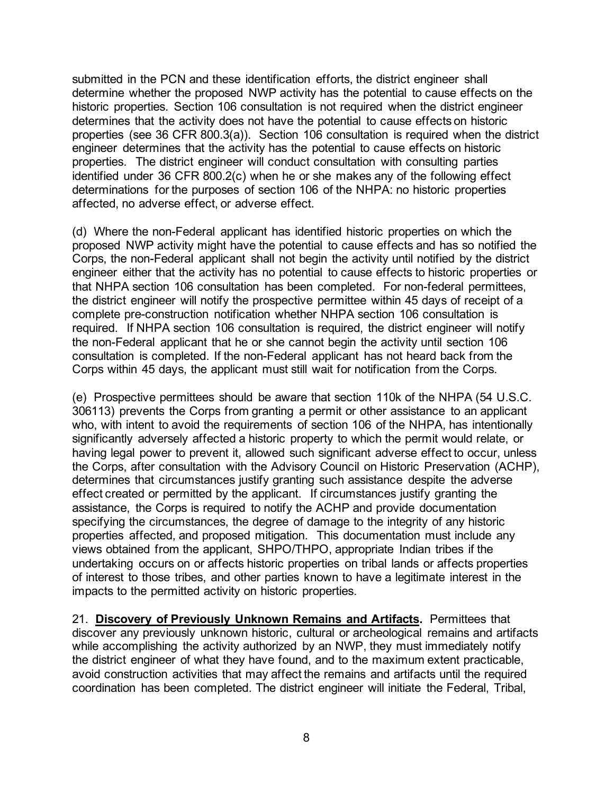submitted in the PCN and these identification efforts, the district engineer shall determine whether the proposed NWP activity has the potential to cause effects on the historic properties. Section 106 consultation is not required when the district engineer determines that the activity does not have the potential to cause effects on historic properties (see 36 CFR 800.3(a)). Section 106 consultation is required when the district engineer determines that the activity has the potential to cause effects on historic properties. The district engineer will conduct consultation with consulting parties identified under 36 CFR 800.2(c) when he or she makes any of the following effect determinations for the purposes of section 106 of the NHPA: no historic properties affected, no adverse effect, or adverse effect.

(d) Where the non-Federal applicant has identified historic properties on which the proposed NWP activity might have the potential to cause effects and has so notified the Corps, the non-Federal applicant shall not begin the activity until notified by the district engineer either that the activity has no potential to cause effects to historic properties or that NHPA section 106 consultation has been completed. For non-federal permittees, the district engineer will notify the prospective permittee within 45 days of receipt of a complete pre-construction notification whether NHPA section 106 consultation is required. If NHPA section 106 consultation is required, the district engineer will notify the non-Federal applicant that he or she cannot begin the activity until section 106 consultation is completed. If the non-Federal applicant has not heard back from the Corps within 45 days, the applicant must still wait for notification from the Corps.

(e) Prospective permittees should be aware that section 110k of the NHPA (54 U.S.C. 306113) prevents the Corps from granting a permit or other assistance to an applicant who, with intent to avoid the requirements of section 106 of the NHPA, has intentionally significantly adversely affected a historic property to which the permit would relate, or having legal power to prevent it, allowed such significant adverse effect to occur, unless the Corps, after consultation with the Advisory Council on Historic Preservation (ACHP), determines that circumstances justify granting such assistance despite the adverse effect created or permitted by the applicant. If circumstances justify granting the assistance, the Corps is required to notify the ACHP and provide documentation specifying the circumstances, the degree of damage to the integrity of any historic properties affected, and proposed mitigation. This documentation must include any views obtained from the applicant, SHPO/THPO, appropriate Indian tribes if the undertaking occurs on or affects historic properties on tribal lands or affects properties of interest to those tribes, and other parties known to have a legitimate interest in the impacts to the permitted activity on historic properties.

21. **Discovery of Previously Unknown Remains and Artifacts.** Permittees that discover any previously unknown historic, cultural or archeological remains and artifacts while accomplishing the activity authorized by an NWP, they must immediately notify the district engineer of what they have found, and to the maximum extent practicable, avoid construction activities that may affect the remains and artifacts until the required coordination has been completed. The district engineer will initiate the Federal, Tribal,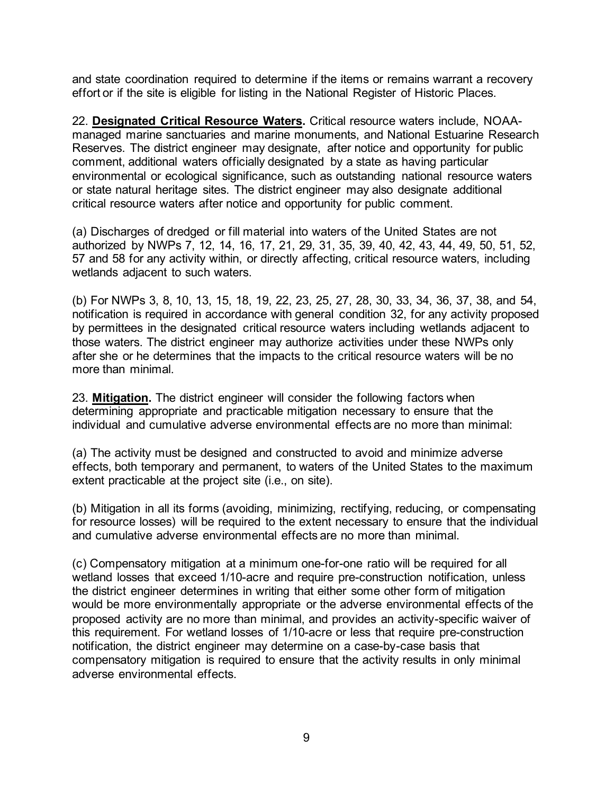and state coordination required to determine if the items or remains warrant a recovery effort or if the site is eligible for listing in the National Register of Historic Places.

22. **Designated Critical Resource Waters.** Critical resource waters include, NOAAmanaged marine sanctuaries and marine monuments, and National Estuarine Research Reserves. The district engineer may designate, after notice and opportunity for public comment, additional waters officially designated by a state as having particular environmental or ecological significance, such as outstanding national resource waters or state natural heritage sites. The district engineer may also designate additional critical resource waters after notice and opportunity for public comment.

(a) Discharges of dredged or fill material into waters of the United States are not authorized by NWPs 7, 12, 14, 16, 17, 21, 29, 31, 35, 39, 40, 42, 43, 44, 49, 50, 51, 52, 57 and 58 for any activity within, or directly affecting, critical resource waters, including wetlands adjacent to such waters.

(b) For NWPs 3, 8, 10, 13, 15, 18, 19, 22, 23, 25, 27, 28, 30, 33, 34, 36, 37, 38, and 54, notification is required in accordance with general condition 32, for any activity proposed by permittees in the designated critical resource waters including wetlands adjacent to those waters. The district engineer may authorize activities under these NWPs only after she or he determines that the impacts to the critical resource waters will be no more than minimal.

23. **Mitigation.** The district engineer will consider the following factors when determining appropriate and practicable mitigation necessary to ensure that the individual and cumulative adverse environmental effects are no more than minimal:

(a) The activity must be designed and constructed to avoid and minimize adverse effects, both temporary and permanent, to waters of the United States to the maximum extent practicable at the project site (i.e., on site).

(b) Mitigation in all its forms (avoiding, minimizing, rectifying, reducing, or compensating for resource losses) will be required to the extent necessary to ensure that the individual and cumulative adverse environmental effects are no more than minimal.

(c) Compensatory mitigation at a minimum one-for-one ratio will be required for all wetland losses that exceed 1/10-acre and require pre-construction notification, unless the district engineer determines in writing that either some other form of mitigation would be more environmentally appropriate or the adverse environmental effects of the proposed activity are no more than minimal, and provides an activity-specific waiver of this requirement. For wetland losses of 1/10-acre or less that require pre-construction notification, the district engineer may determine on a case-by-case basis that compensatory mitigation is required to ensure that the activity results in only minimal adverse environmental effects.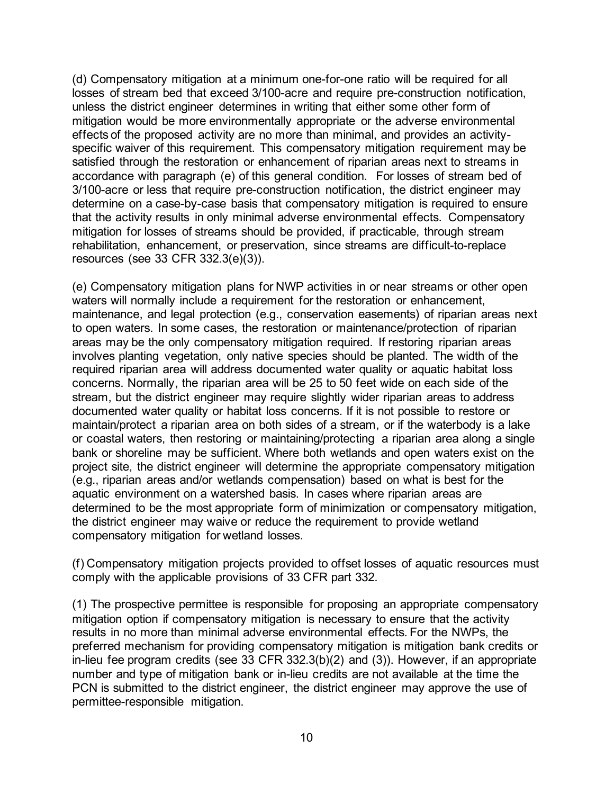(d) Compensatory mitigation at a minimum one-for-one ratio will be required for all losses of stream bed that exceed 3/100-acre and require pre-construction notification, unless the district engineer determines in writing that either some other form of mitigation would be more environmentally appropriate or the adverse environmental effects of the proposed activity are no more than minimal, and provides an activityspecific waiver of this requirement. This compensatory mitigation requirement may be satisfied through the restoration or enhancement of riparian areas next to streams in accordance with paragraph (e) of this general condition. For losses of stream bed of 3/100-acre or less that require pre-construction notification, the district engineer may determine on a case-by-case basis that compensatory mitigation is required to ensure that the activity results in only minimal adverse environmental effects. Compensatory mitigation for losses of streams should be provided, if practicable, through stream rehabilitation, enhancement, or preservation, since streams are difficult-to-replace resources (see 33 CFR 332.3(e)(3)).

(e) Compensatory mitigation plans for NWP activities in or near streams or other open waters will normally include a requirement for the restoration or enhancement, maintenance, and legal protection (e.g., conservation easements) of riparian areas next to open waters. In some cases, the restoration or maintenance/protection of riparian areas may be the only compensatory mitigation required. If restoring riparian areas involves planting vegetation, only native species should be planted. The width of the required riparian area will address documented water quality or aquatic habitat loss concerns. Normally, the riparian area will be 25 to 50 feet wide on each side of the stream, but the district engineer may require slightly wider riparian areas to address documented water quality or habitat loss concerns. If it is not possible to restore or maintain/protect a riparian area on both sides of a stream, or if the waterbody is a lake or coastal waters, then restoring or maintaining/protecting a riparian area along a single bank or shoreline may be sufficient. Where both wetlands and open waters exist on the project site, the district engineer will determine the appropriate compensatory mitigation (e.g., riparian areas and/or wetlands compensation) based on what is best for the aquatic environment on a watershed basis. In cases where riparian areas are determined to be the most appropriate form of minimization or compensatory mitigation, the district engineer may waive or reduce the requirement to provide wetland compensatory mitigation for wetland losses.

(f) Compensatory mitigation projects provided to offset losses of aquatic resources must comply with the applicable provisions of 33 CFR part 332.

(1) The prospective permittee is responsible for proposing an appropriate compensatory mitigation option if compensatory mitigation is necessary to ensure that the activity results in no more than minimal adverse environmental effects. For the NWPs, the preferred mechanism for providing compensatory mitigation is mitigation bank credits or in-lieu fee program credits (see 33 CFR 332.3(b)(2) and (3)). However, if an appropriate number and type of mitigation bank or in-lieu credits are not available at the time the PCN is submitted to the district engineer, the district engineer may approve the use of permittee-responsible mitigation.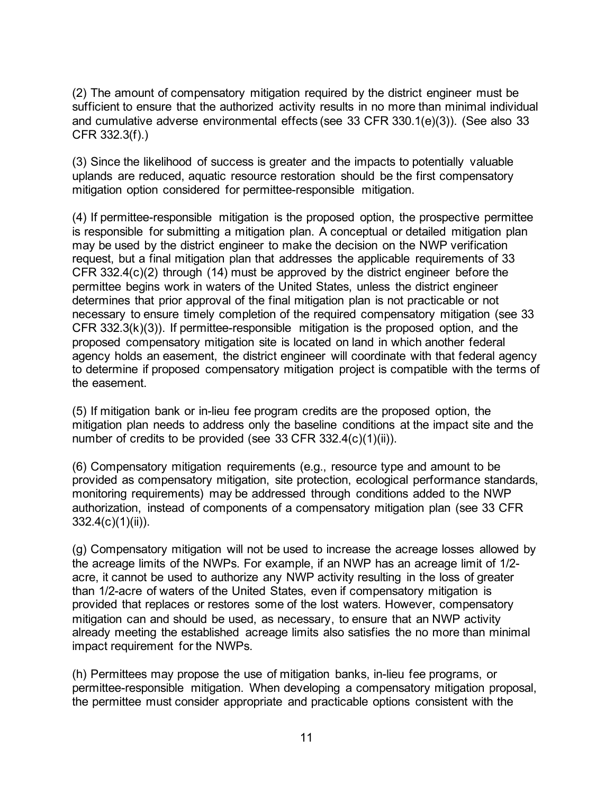(2) The amount of compensatory mitigation required by the district engineer must be sufficient to ensure that the authorized activity results in no more than minimal individual and cumulative adverse environmental effects (see 33 CFR 330.1(e)(3)). (See also 33 CFR 332.3(f).)

(3) Since the likelihood of success is greater and the impacts to potentially valuable uplands are reduced, aquatic resource restoration should be the first compensatory mitigation option considered for permittee-responsible mitigation.

(4) If permittee-responsible mitigation is the proposed option, the prospective permittee is responsible for submitting a mitigation plan. A conceptual or detailed mitigation plan may be used by the district engineer to make the decision on the NWP verification request, but a final mitigation plan that addresses the applicable requirements of 33 CFR 332.4(c)(2) through (14) must be approved by the district engineer before the permittee begins work in waters of the United States, unless the district engineer determines that prior approval of the final mitigation plan is not practicable or not necessary to ensure timely completion of the required compensatory mitigation (see 33 CFR 332.3(k)(3)). If permittee-responsible mitigation is the proposed option, and the proposed compensatory mitigation site is located on land in which another federal agency holds an easement, the district engineer will coordinate with that federal agency to determine if proposed compensatory mitigation project is compatible with the terms of the easement.

(5) If mitigation bank or in-lieu fee program credits are the proposed option, the mitigation plan needs to address only the baseline conditions at the impact site and the number of credits to be provided (see 33 CFR 332.4(c)(1)(ii)).

(6) Compensatory mitigation requirements (e.g., resource type and amount to be provided as compensatory mitigation, site protection, ecological performance standards, monitoring requirements) may be addressed through conditions added to the NWP authorization, instead of components of a compensatory mitigation plan (see 33 CFR  $332.4(c)(1)(ii)$ ).

(g) Compensatory mitigation will not be used to increase the acreage losses allowed by the acreage limits of the NWPs. For example, if an NWP has an acreage limit of 1/2 acre, it cannot be used to authorize any NWP activity resulting in the loss of greater than 1/2-acre of waters of the United States, even if compensatory mitigation is provided that replaces or restores some of the lost waters. However, compensatory mitigation can and should be used, as necessary, to ensure that an NWP activity already meeting the established acreage limits also satisfies the no more than minimal impact requirement for the NWPs.

(h) Permittees may propose the use of mitigation banks, in-lieu fee programs, or permittee-responsible mitigation. When developing a compensatory mitigation proposal, the permittee must consider appropriate and practicable options consistent with the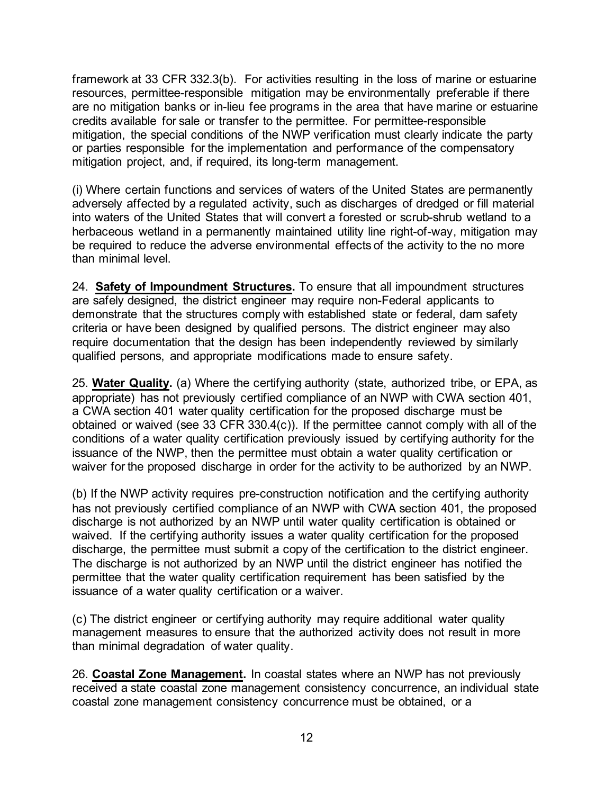framework at 33 CFR 332.3(b). For activities resulting in the loss of marine or estuarine resources, permittee-responsible mitigation may be environmentally preferable if there are no mitigation banks or in-lieu fee programs in the area that have marine or estuarine credits available for sale or transfer to the permittee. For permittee-responsible mitigation, the special conditions of the NWP verification must clearly indicate the party or parties responsible for the implementation and performance of the compensatory mitigation project, and, if required, its long-term management.

(i) Where certain functions and services of waters of the United States are permanently adversely affected by a regulated activity, such as discharges of dredged or fill material into waters of the United States that will convert a forested or scrub-shrub wetland to a herbaceous wetland in a permanently maintained utility line right-of-way, mitigation may be required to reduce the adverse environmental effects of the activity to the no more than minimal level.

24. **Safety of Impoundment Structures.** To ensure that all impoundment structures are safely designed, the district engineer may require non-Federal applicants to demonstrate that the structures comply with established state or federal, dam safety criteria or have been designed by qualified persons. The district engineer may also require documentation that the design has been independently reviewed by similarly qualified persons, and appropriate modifications made to ensure safety.

25. **Water Quality.** (a) Where the certifying authority (state, authorized tribe, or EPA, as appropriate) has not previously certified compliance of an NWP with CWA section 401, a CWA section 401 water quality certification for the proposed discharge must be obtained or waived (see 33 CFR 330.4(c)). If the permittee cannot comply with all of the conditions of a water quality certification previously issued by certifying authority for the issuance of the NWP, then the permittee must obtain a water quality certification or waiver for the proposed discharge in order for the activity to be authorized by an NWP.

(b) If the NWP activity requires pre-construction notification and the certifying authority has not previously certified compliance of an NWP with CWA section 401, the proposed discharge is not authorized by an NWP until water quality certification is obtained or waived. If the certifying authority issues a water quality certification for the proposed discharge, the permittee must submit a copy of the certification to the district engineer. The discharge is not authorized by an NWP until the district engineer has notified the permittee that the water quality certification requirement has been satisfied by the issuance of a water quality certification or a waiver.

(c) The district engineer or certifying authority may require additional water quality management measures to ensure that the authorized activity does not result in more than minimal degradation of water quality.

26. **Coastal Zone Management.** In coastal states where an NWP has not previously received a state coastal zone management consistency concurrence, an individual state coastal zone management consistency concurrence must be obtained, or a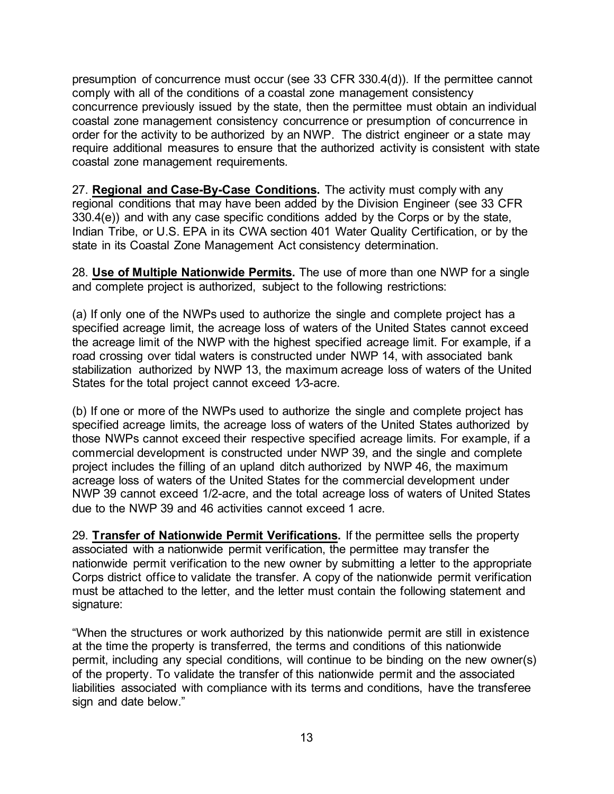presumption of concurrence must occur (see 33 CFR 330.4(d)). If the permittee cannot comply with all of the conditions of a coastal zone management consistency concurrence previously issued by the state, then the permittee must obtain an individual coastal zone management consistency concurrence or presumption of concurrence in order for the activity to be authorized by an NWP. The district engineer or a state may require additional measures to ensure that the authorized activity is consistent with state coastal zone management requirements.

27. **Regional and Case-By-Case Conditions.** The activity must comply with any regional conditions that may have been added by the Division Engineer (see 33 CFR 330.4(e)) and with any case specific conditions added by the Corps or by the state, Indian Tribe, or U.S. EPA in its CWA section 401 Water Quality Certification, or by the state in its Coastal Zone Management Act consistency determination.

28. **Use of Multiple Nationwide Permits.** The use of more than one NWP for a single and complete project is authorized, subject to the following restrictions:

(a) If only one of the NWPs used to authorize the single and complete project has a specified acreage limit, the acreage loss of waters of the United States cannot exceed the acreage limit of the NWP with the highest specified acreage limit. For example, if a road crossing over tidal waters is constructed under NWP 14, with associated bank stabilization authorized by NWP 13, the maximum acreage loss of waters of the United States for the total project cannot exceed 1/3-acre.

(b) If one or more of the NWPs used to authorize the single and complete project has specified acreage limits, the acreage loss of waters of the United States authorized by those NWPs cannot exceed their respective specified acreage limits. For example, if a commercial development is constructed under NWP 39, and the single and complete project includes the filling of an upland ditch authorized by NWP 46, the maximum acreage loss of waters of the United States for the commercial development under NWP 39 cannot exceed 1/2-acre, and the total acreage loss of waters of United States due to the NWP 39 and 46 activities cannot exceed 1 acre.

29. **Transfer of Nationwide Permit Verifications.** If the permittee sells the property associated with a nationwide permit verification, the permittee may transfer the nationwide permit verification to the new owner by submitting a letter to the appropriate Corps district office to validate the transfer. A copy of the nationwide permit verification must be attached to the letter, and the letter must contain the following statement and signature:

"When the structures or work authorized by this nationwide permit are still in existence at the time the property is transferred, the terms and conditions of this nationwide permit, including any special conditions, will continue to be binding on the new owner(s) of the property. To validate the transfer of this nationwide permit and the associated liabilities associated with compliance with its terms and conditions, have the transferee sign and date below."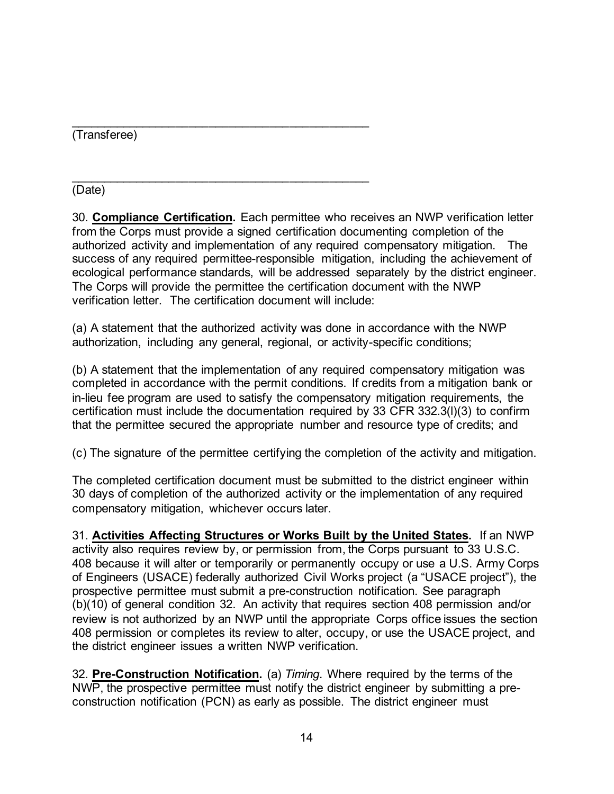\_\_\_\_\_\_\_\_\_\_\_\_\_\_\_\_\_\_\_\_\_\_\_\_\_\_\_\_\_\_\_\_\_\_\_\_\_\_\_\_\_\_\_\_\_ (Transferee)

\_\_\_\_\_\_\_\_\_\_\_\_\_\_\_\_\_\_\_\_\_\_\_\_\_\_\_\_\_\_\_\_\_\_\_\_\_\_\_\_\_\_\_\_\_ (Date)

30. **Compliance Certification.** Each permittee who receives an NWP verification letter from the Corps must provide a signed certification documenting completion of the authorized activity and implementation of any required compensatory mitigation. The success of any required permittee-responsible mitigation, including the achievement of ecological performance standards, will be addressed separately by the district engineer. The Corps will provide the permittee the certification document with the NWP verification letter. The certification document will include:

(a) A statement that the authorized activity was done in accordance with the NWP authorization, including any general, regional, or activity-specific conditions;

(b) A statement that the implementation of any required compensatory mitigation was completed in accordance with the permit conditions. If credits from a mitigation bank or in-lieu fee program are used to satisfy the compensatory mitigation requirements, the certification must include the documentation required by 33 CFR 332.3(l)(3) to confirm that the permittee secured the appropriate number and resource type of credits; and

(c) The signature of the permittee certifying the completion of the activity and mitigation.

The completed certification document must be submitted to the district engineer within 30 days of completion of the authorized activity or the implementation of any required compensatory mitigation, whichever occurs later.

31. **Activities Affecting Structures or Works Built by the United States.** If an NWP activity also requires review by, or permission from, the Corps pursuant to 33 U.S.C. 408 because it will alter or temporarily or permanently occupy or use a U.S. Army Corps of Engineers (USACE) federally authorized Civil Works project (a "USACE project"), the prospective permittee must submit a pre-construction notification. See paragraph (b)(10) of general condition 32. An activity that requires section 408 permission and/or review is not authorized by an NWP until the appropriate Corps office issues the section 408 permission or completes its review to alter, occupy, or use the USACE project, and the district engineer issues a written NWP verification.

32. **Pre-Construction Notification.** (a) *Timing*. Where required by the terms of the NWP, the prospective permittee must notify the district engineer by submitting a preconstruction notification (PCN) as early as possible. The district engineer must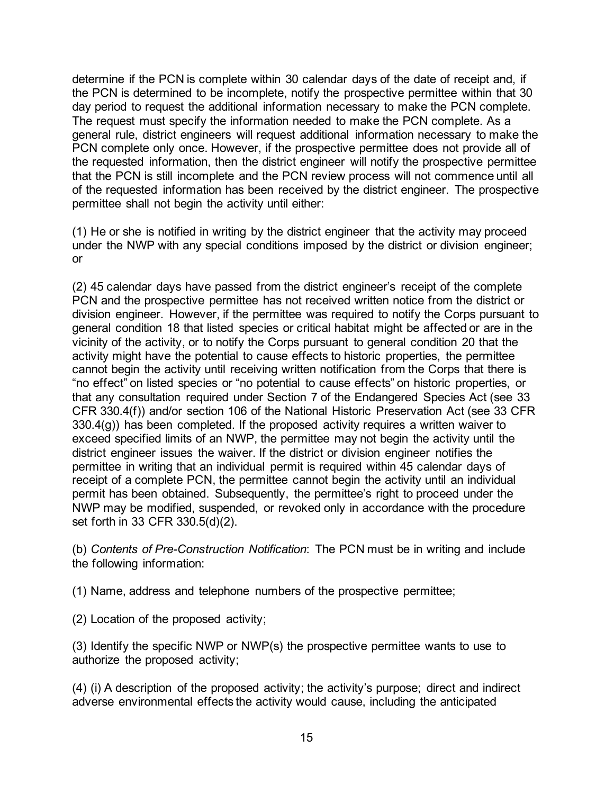determine if the PCN is complete within 30 calendar days of the date of receipt and, if the PCN is determined to be incomplete, notify the prospective permittee within that 30 day period to request the additional information necessary to make the PCN complete. The request must specify the information needed to make the PCN complete. As a general rule, district engineers will request additional information necessary to make the PCN complete only once. However, if the prospective permittee does not provide all of the requested information, then the district engineer will notify the prospective permittee that the PCN is still incomplete and the PCN review process will not commence until all of the requested information has been received by the district engineer. The prospective permittee shall not begin the activity until either:

(1) He or she is notified in writing by the district engineer that the activity may proceed under the NWP with any special conditions imposed by the district or division engineer; or

(2) 45 calendar days have passed from the district engineer's receipt of the complete PCN and the prospective permittee has not received written notice from the district or division engineer. However, if the permittee was required to notify the Corps pursuant to general condition 18 that listed species or critical habitat might be affected or are in the vicinity of the activity, or to notify the Corps pursuant to general condition 20 that the activity might have the potential to cause effects to historic properties, the permittee cannot begin the activity until receiving written notification from the Corps that there is "no effect" on listed species or "no potential to cause effects" on historic properties, or that any consultation required under Section 7 of the Endangered Species Act (see 33 CFR 330.4(f)) and/or section 106 of the National Historic Preservation Act (see 33 CFR 330.4(g)) has been completed. If the proposed activity requires a written waiver to exceed specified limits of an NWP, the permittee may not begin the activity until the district engineer issues the waiver. If the district or division engineer notifies the permittee in writing that an individual permit is required within 45 calendar days of receipt of a complete PCN, the permittee cannot begin the activity until an individual permit has been obtained. Subsequently, the permittee's right to proceed under the NWP may be modified, suspended, or revoked only in accordance with the procedure set forth in 33 CFR 330.5(d)(2).

(b) *Contents of Pre-Construction Notification*: The PCN must be in writing and include the following information:

(1) Name, address and telephone numbers of the prospective permittee;

(2) Location of the proposed activity;

(3) Identify the specific NWP or NWP(s) the prospective permittee wants to use to authorize the proposed activity;

(4) (i) A description of the proposed activity; the activity's purpose; direct and indirect adverse environmental effects the activity would cause, including the anticipated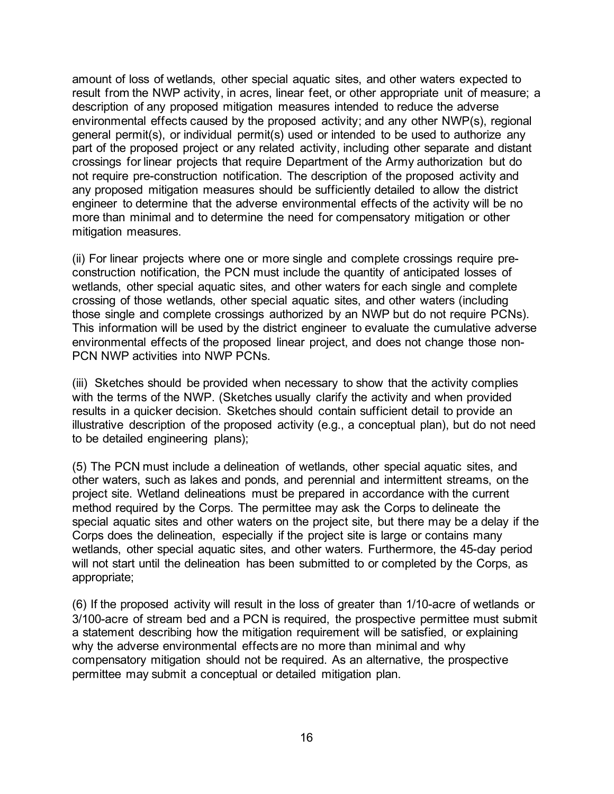amount of loss of wetlands, other special aquatic sites, and other waters expected to result from the NWP activity, in acres, linear feet, or other appropriate unit of measure; a description of any proposed mitigation measures intended to reduce the adverse environmental effects caused by the proposed activity; and any other NWP(s), regional general permit(s), or individual permit(s) used or intended to be used to authorize any part of the proposed project or any related activity, including other separate and distant crossings for linear projects that require Department of the Army authorization but do not require pre-construction notification. The description of the proposed activity and any proposed mitigation measures should be sufficiently detailed to allow the district engineer to determine that the adverse environmental effects of the activity will be no more than minimal and to determine the need for compensatory mitigation or other mitigation measures.

(ii) For linear projects where one or more single and complete crossings require preconstruction notification, the PCN must include the quantity of anticipated losses of wetlands, other special aquatic sites, and other waters for each single and complete crossing of those wetlands, other special aquatic sites, and other waters (including those single and complete crossings authorized by an NWP but do not require PCNs). This information will be used by the district engineer to evaluate the cumulative adverse environmental effects of the proposed linear project, and does not change those non-PCN NWP activities into NWP PCNs.

(iii) Sketches should be provided when necessary to show that the activity complies with the terms of the NWP. (Sketches usually clarify the activity and when provided results in a quicker decision. Sketches should contain sufficient detail to provide an illustrative description of the proposed activity (e.g., a conceptual plan), but do not need to be detailed engineering plans);

(5) The PCN must include a delineation of wetlands, other special aquatic sites, and other waters, such as lakes and ponds, and perennial and intermittent streams, on the project site. Wetland delineations must be prepared in accordance with the current method required by the Corps. The permittee may ask the Corps to delineate the special aquatic sites and other waters on the project site, but there may be a delay if the Corps does the delineation, especially if the project site is large or contains many wetlands, other special aquatic sites, and other waters. Furthermore, the 45-day period will not start until the delineation has been submitted to or completed by the Corps, as appropriate;

(6) If the proposed activity will result in the loss of greater than 1/10-acre of wetlands or 3/100-acre of stream bed and a PCN is required, the prospective permittee must submit a statement describing how the mitigation requirement will be satisfied, or explaining why the adverse environmental effects are no more than minimal and why compensatory mitigation should not be required. As an alternative, the prospective permittee may submit a conceptual or detailed mitigation plan.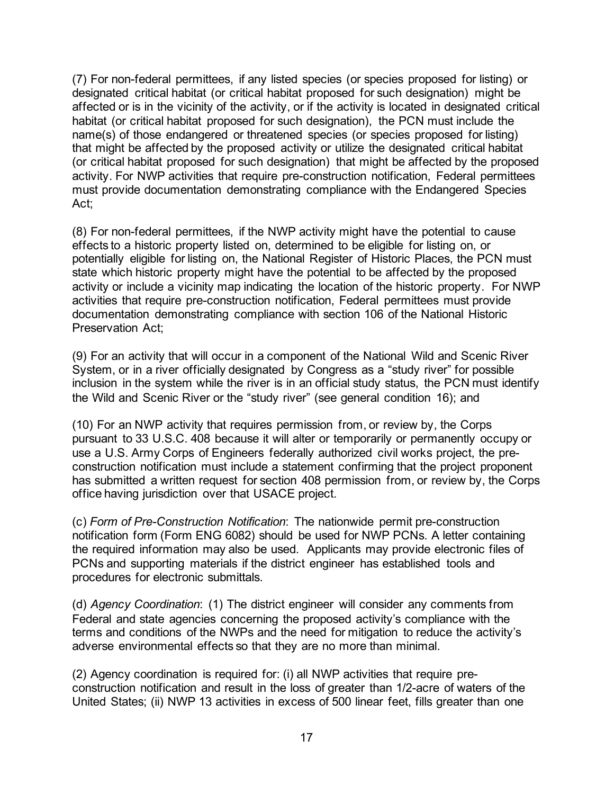(7) For non-federal permittees, if any listed species (or species proposed for listing) or designated critical habitat (or critical habitat proposed for such designation) might be affected or is in the vicinity of the activity, or if the activity is located in designated critical habitat (or critical habitat proposed for such designation), the PCN must include the name(s) of those endangered or threatened species (or species proposed for listing) that might be affected by the proposed activity or utilize the designated critical habitat (or critical habitat proposed for such designation) that might be affected by the proposed activity. For NWP activities that require pre-construction notification, Federal permittees must provide documentation demonstrating compliance with the Endangered Species Act;

(8) For non-federal permittees, if the NWP activity might have the potential to cause effects to a historic property listed on, determined to be eligible for listing on, or potentially eligible for listing on, the National Register of Historic Places, the PCN must state which historic property might have the potential to be affected by the proposed activity or include a vicinity map indicating the location of the historic property. For NWP activities that require pre-construction notification, Federal permittees must provide documentation demonstrating compliance with section 106 of the National Historic Preservation Act;

(9) For an activity that will occur in a component of the National Wild and Scenic River System, or in a river officially designated by Congress as a "study river" for possible inclusion in the system while the river is in an official study status, the PCN must identify the Wild and Scenic River or the "study river" (see general condition 16); and

(10) For an NWP activity that requires permission from, or review by, the Corps pursuant to 33 U.S.C. 408 because it will alter or temporarily or permanently occupy or use a U.S. Army Corps of Engineers federally authorized civil works project, the preconstruction notification must include a statement confirming that the project proponent has submitted a written request for section 408 permission from, or review by, the Corps office having jurisdiction over that USACE project.

(c) *Form of Pre-Construction Notification*: The nationwide permit pre-construction notification form (Form ENG 6082) should be used for NWP PCNs. A letter containing the required information may also be used. Applicants may provide electronic files of PCNs and supporting materials if the district engineer has established tools and procedures for electronic submittals.

(d) *Agency Coordination*: (1) The district engineer will consider any comments from Federal and state agencies concerning the proposed activity's compliance with the terms and conditions of the NWPs and the need for mitigation to reduce the activity's adverse environmental effects so that they are no more than minimal.

(2) Agency coordination is required for: (i) all NWP activities that require preconstruction notification and result in the loss of greater than 1/2-acre of waters of the United States; (ii) NWP 13 activities in excess of 500 linear feet, fills greater than one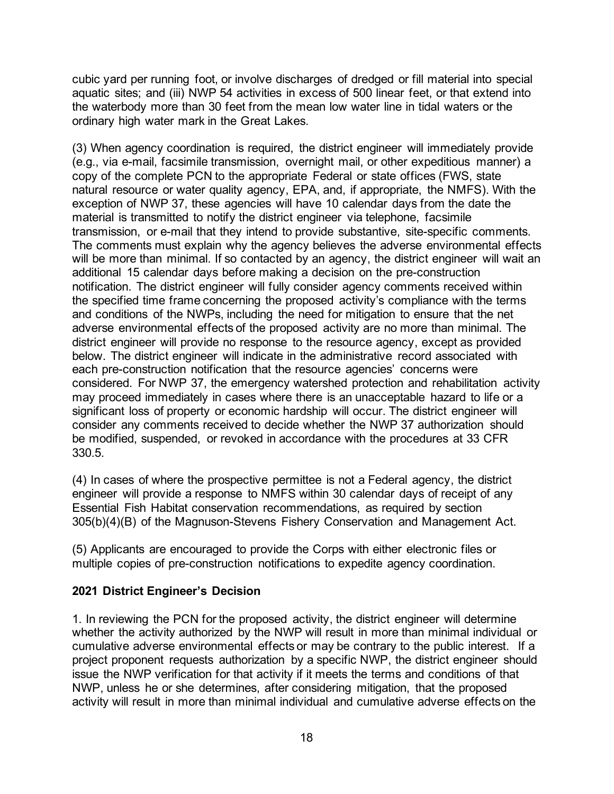cubic yard per running foot, or involve discharges of dredged or fill material into special aquatic sites; and (iii) NWP 54 activities in excess of 500 linear feet, or that extend into the waterbody more than 30 feet from the mean low water line in tidal waters or the ordinary high water mark in the Great Lakes.

(3) When agency coordination is required, the district engineer will immediately provide (e.g., via e-mail, facsimile transmission, overnight mail, or other expeditious manner) a copy of the complete PCN to the appropriate Federal or state offices (FWS, state natural resource or water quality agency, EPA, and, if appropriate, the NMFS). With the exception of NWP 37, these agencies will have 10 calendar days from the date the material is transmitted to notify the district engineer via telephone, facsimile transmission, or e-mail that they intend to provide substantive, site-specific comments. The comments must explain why the agency believes the adverse environmental effects will be more than minimal. If so contacted by an agency, the district engineer will wait an additional 15 calendar days before making a decision on the pre-construction notification. The district engineer will fully consider agency comments received within the specified time frame concerning the proposed activity's compliance with the terms and conditions of the NWPs, including the need for mitigation to ensure that the net adverse environmental effects of the proposed activity are no more than minimal. The district engineer will provide no response to the resource agency, except as provided below. The district engineer will indicate in the administrative record associated with each pre-construction notification that the resource agencies' concerns were considered. For NWP 37, the emergency watershed protection and rehabilitation activity may proceed immediately in cases where there is an unacceptable hazard to life or a significant loss of property or economic hardship will occur. The district engineer will consider any comments received to decide whether the NWP 37 authorization should be modified, suspended, or revoked in accordance with the procedures at 33 CFR 330.5.

(4) In cases of where the prospective permittee is not a Federal agency, the district engineer will provide a response to NMFS within 30 calendar days of receipt of any Essential Fish Habitat conservation recommendations, as required by section 305(b)(4)(B) of the Magnuson-Stevens Fishery Conservation and Management Act.

(5) Applicants are encouraged to provide the Corps with either electronic files or multiple copies of pre-construction notifications to expedite agency coordination.

#### **2021 District Engineer's Decision**

1. In reviewing the PCN for the proposed activity, the district engineer will determine whether the activity authorized by the NWP will result in more than minimal individual or cumulative adverse environmental effects or may be contrary to the public interest. If a project proponent requests authorization by a specific NWP, the district engineer should issue the NWP verification for that activity if it meets the terms and conditions of that NWP, unless he or she determines, after considering mitigation, that the proposed activity will result in more than minimal individual and cumulative adverse effects on the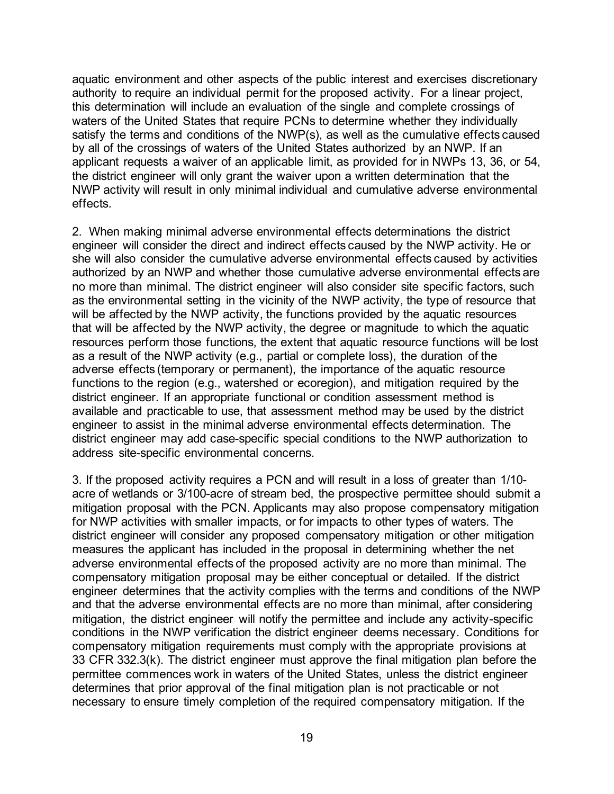aquatic environment and other aspects of the public interest and exercises discretionary authority to require an individual permit for the proposed activity. For a linear project, this determination will include an evaluation of the single and complete crossings of waters of the United States that require PCNs to determine whether they individually satisfy the terms and conditions of the NWP(s), as well as the cumulative effects caused by all of the crossings of waters of the United States authorized by an NWP. If an applicant requests a waiver of an applicable limit, as provided for in NWPs 13, 36, or 54, the district engineer will only grant the waiver upon a written determination that the NWP activity will result in only minimal individual and cumulative adverse environmental effects.

2. When making minimal adverse environmental effects determinations the district engineer will consider the direct and indirect effects caused by the NWP activity. He or she will also consider the cumulative adverse environmental effects caused by activities authorized by an NWP and whether those cumulative adverse environmental effects are no more than minimal. The district engineer will also consider site specific factors, such as the environmental setting in the vicinity of the NWP activity, the type of resource that will be affected by the NWP activity, the functions provided by the aquatic resources that will be affected by the NWP activity, the degree or magnitude to which the aquatic resources perform those functions, the extent that aquatic resource functions will be lost as a result of the NWP activity (e.g., partial or complete loss), the duration of the adverse effects (temporary or permanent), the importance of the aquatic resource functions to the region (e.g., watershed or ecoregion), and mitigation required by the district engineer. If an appropriate functional or condition assessment method is available and practicable to use, that assessment method may be used by the district engineer to assist in the minimal adverse environmental effects determination. The district engineer may add case-specific special conditions to the NWP authorization to address site-specific environmental concerns.

3. If the proposed activity requires a PCN and will result in a loss of greater than 1/10 acre of wetlands or 3/100-acre of stream bed, the prospective permittee should submit a mitigation proposal with the PCN. Applicants may also propose compensatory mitigation for NWP activities with smaller impacts, or for impacts to other types of waters. The district engineer will consider any proposed compensatory mitigation or other mitigation measures the applicant has included in the proposal in determining whether the net adverse environmental effects of the proposed activity are no more than minimal. The compensatory mitigation proposal may be either conceptual or detailed. If the district engineer determines that the activity complies with the terms and conditions of the NWP and that the adverse environmental effects are no more than minimal, after considering mitigation, the district engineer will notify the permittee and include any activity-specific conditions in the NWP verification the district engineer deems necessary. Conditions for compensatory mitigation requirements must comply with the appropriate provisions at 33 CFR 332.3(k). The district engineer must approve the final mitigation plan before the permittee commences work in waters of the United States, unless the district engineer determines that prior approval of the final mitigation plan is not practicable or not necessary to ensure timely completion of the required compensatory mitigation. If the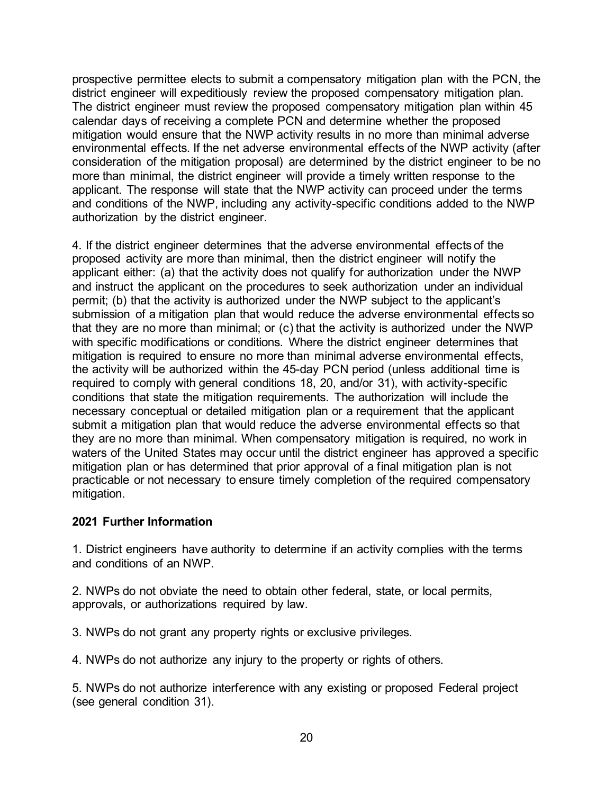prospective permittee elects to submit a compensatory mitigation plan with the PCN, the district engineer will expeditiously review the proposed compensatory mitigation plan. The district engineer must review the proposed compensatory mitigation plan within 45 calendar days of receiving a complete PCN and determine whether the proposed mitigation would ensure that the NWP activity results in no more than minimal adverse environmental effects. If the net adverse environmental effects of the NWP activity (after consideration of the mitigation proposal) are determined by the district engineer to be no more than minimal, the district engineer will provide a timely written response to the applicant. The response will state that the NWP activity can proceed under the terms and conditions of the NWP, including any activity-specific conditions added to the NWP authorization by the district engineer.

4. If the district engineer determines that the adverse environmental effects of the proposed activity are more than minimal, then the district engineer will notify the applicant either: (a) that the activity does not qualify for authorization under the NWP and instruct the applicant on the procedures to seek authorization under an individual permit; (b) that the activity is authorized under the NWP subject to the applicant's submission of a mitigation plan that would reduce the adverse environmental effects so that they are no more than minimal; or (c) that the activity is authorized under the NWP with specific modifications or conditions. Where the district engineer determines that mitigation is required to ensure no more than minimal adverse environmental effects, the activity will be authorized within the 45-day PCN period (unless additional time is required to comply with general conditions 18, 20, and/or 31), with activity-specific conditions that state the mitigation requirements. The authorization will include the necessary conceptual or detailed mitigation plan or a requirement that the applicant submit a mitigation plan that would reduce the adverse environmental effects so that they are no more than minimal. When compensatory mitigation is required, no work in waters of the United States may occur until the district engineer has approved a specific mitigation plan or has determined that prior approval of a final mitigation plan is not practicable or not necessary to ensure timely completion of the required compensatory mitigation.

#### **2021 Further Information**

1. District engineers have authority to determine if an activity complies with the terms and conditions of an NWP.

2. NWPs do not obviate the need to obtain other federal, state, or local permits, approvals, or authorizations required by law.

3. NWPs do not grant any property rights or exclusive privileges.

4. NWPs do not authorize any injury to the property or rights of others.

5. NWPs do not authorize interference with any existing or proposed Federal project (see general condition 31).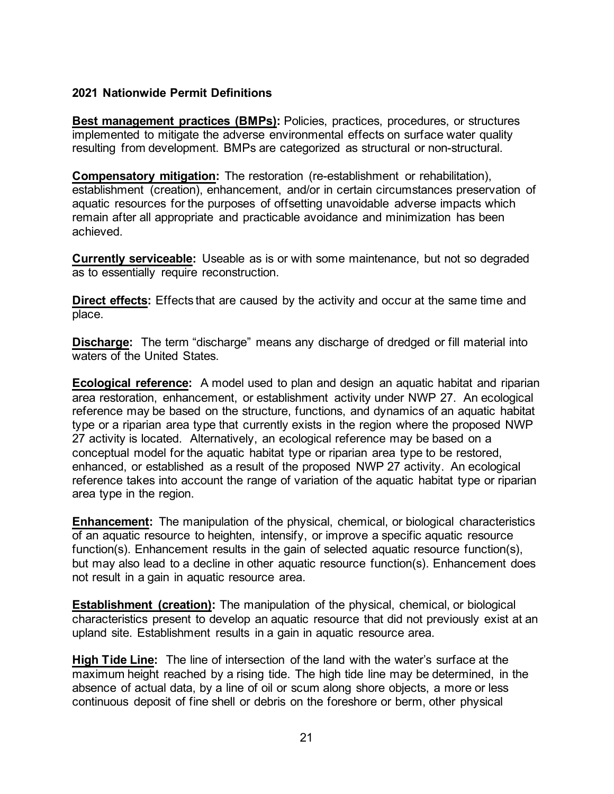### **2021 Nationwide Permit Definitions**

**Best management practices (BMPs):** Policies, practices, procedures, or structures implemented to mitigate the adverse environmental effects on surface water quality resulting from development. BMPs are categorized as structural or non-structural.

**Compensatory mitigation:** The restoration (re-establishment or rehabilitation), establishment (creation), enhancement, and/or in certain circumstances preservation of aquatic resources for the purposes of offsetting unavoidable adverse impacts which remain after all appropriate and practicable avoidance and minimization has been achieved.

**Currently serviceable:** Useable as is or with some maintenance, but not so degraded as to essentially require reconstruction.

**Direct effects:** Effects that are caused by the activity and occur at the same time and place.

**Discharge:** The term "discharge" means any discharge of dredged or fill material into waters of the United States.

**Ecological reference:** A model used to plan and design an aquatic habitat and riparian area restoration, enhancement, or establishment activity under NWP 27. An ecological reference may be based on the structure, functions, and dynamics of an aquatic habitat type or a riparian area type that currently exists in the region where the proposed NWP 27 activity is located. Alternatively, an ecological reference may be based on a conceptual model for the aquatic habitat type or riparian area type to be restored, enhanced, or established as a result of the proposed NWP 27 activity. An ecological reference takes into account the range of variation of the aquatic habitat type or riparian area type in the region.

**Enhancement:** The manipulation of the physical, chemical, or biological characteristics of an aquatic resource to heighten, intensify, or improve a specific aquatic resource function(s). Enhancement results in the gain of selected aquatic resource function(s), but may also lead to a decline in other aquatic resource function(s). Enhancement does not result in a gain in aquatic resource area.

**Establishment (creation):** The manipulation of the physical, chemical, or biological characteristics present to develop an aquatic resource that did not previously exist at an upland site. Establishment results in a gain in aquatic resource area.

**High Tide Line:** The line of intersection of the land with the water's surface at the maximum height reached by a rising tide. The high tide line may be determined, in the absence of actual data, by a line of oil or scum along shore objects, a more or less continuous deposit of fine shell or debris on the foreshore or berm, other physical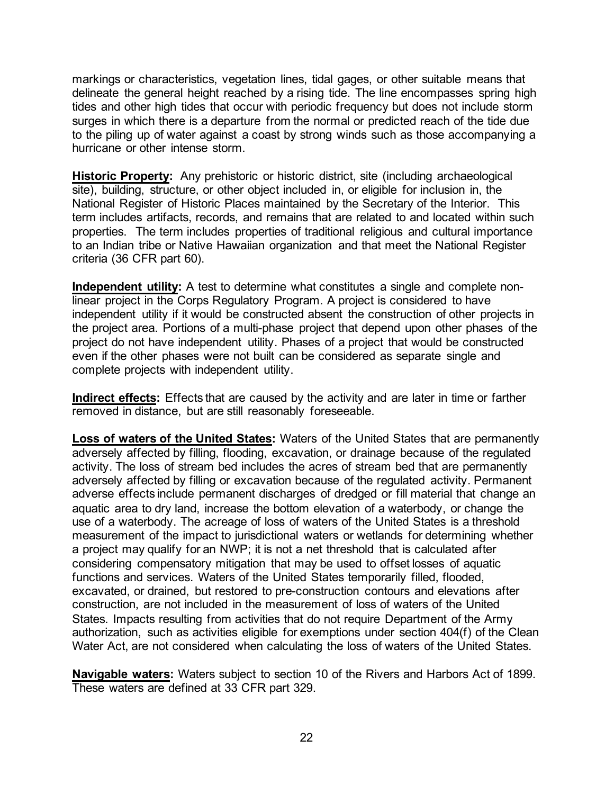markings or characteristics, vegetation lines, tidal gages, or other suitable means that delineate the general height reached by a rising tide. The line encompasses spring high tides and other high tides that occur with periodic frequency but does not include storm surges in which there is a departure from the normal or predicted reach of the tide due to the piling up of water against a coast by strong winds such as those accompanying a hurricane or other intense storm.

**Historic Property:** Any prehistoric or historic district, site (including archaeological site), building, structure, or other object included in, or eligible for inclusion in, the National Register of Historic Places maintained by the Secretary of the Interior. This term includes artifacts, records, and remains that are related to and located within such properties. The term includes properties of traditional religious and cultural importance to an Indian tribe or Native Hawaiian organization and that meet the National Register criteria (36 CFR part 60).

**Independent utility:** A test to determine what constitutes a single and complete nonlinear project in the Corps Regulatory Program. A project is considered to have independent utility if it would be constructed absent the construction of other projects in the project area. Portions of a multi-phase project that depend upon other phases of the project do not have independent utility. Phases of a project that would be constructed even if the other phases were not built can be considered as separate single and complete projects with independent utility.

**Indirect effects:** Effects that are caused by the activity and are later in time or farther removed in distance, but are still reasonably foreseeable.

**Loss of waters of the United States:** Waters of the United States that are permanently adversely affected by filling, flooding, excavation, or drainage because of the regulated activity. The loss of stream bed includes the acres of stream bed that are permanently adversely affected by filling or excavation because of the regulated activity. Permanent adverse effects include permanent discharges of dredged or fill material that change an aquatic area to dry land, increase the bottom elevation of a waterbody, or change the use of a waterbody. The acreage of loss of waters of the United States is a threshold measurement of the impact to jurisdictional waters or wetlands for determining whether a project may qualify for an NWP; it is not a net threshold that is calculated after considering compensatory mitigation that may be used to offset losses of aquatic functions and services. Waters of the United States temporarily filled, flooded, excavated, or drained, but restored to pre-construction contours and elevations after construction, are not included in the measurement of loss of waters of the United States. Impacts resulting from activities that do not require Department of the Army authorization, such as activities eligible for exemptions under section 404(f) of the Clean Water Act, are not considered when calculating the loss of waters of the United States.

**Navigable waters:** Waters subject to section 10 of the Rivers and Harbors Act of 1899. These waters are defined at 33 CFR part 329.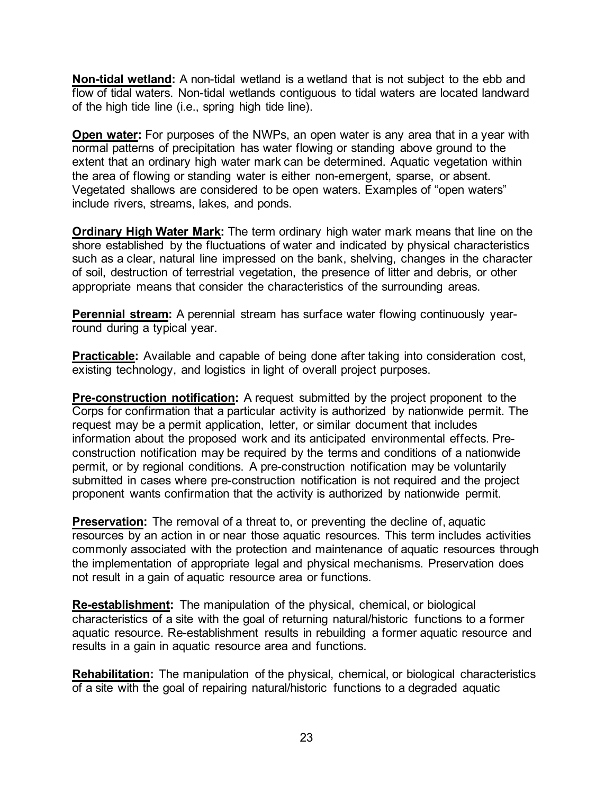**Non-tidal wetland:** A non-tidal wetland is a wetland that is not subject to the ebb and flow of tidal waters. Non-tidal wetlands contiguous to tidal waters are located landward of the high tide line (i.e., spring high tide line).

**Open water:** For purposes of the NWPs, an open water is any area that in a year with normal patterns of precipitation has water flowing or standing above ground to the extent that an ordinary high water mark can be determined. Aquatic vegetation within the area of flowing or standing water is either non-emergent, sparse, or absent. Vegetated shallows are considered to be open waters. Examples of "open waters" include rivers, streams, lakes, and ponds.

**Ordinary High Water Mark:** The term ordinary high water mark means that line on the shore established by the fluctuations of water and indicated by physical characteristics such as a clear, natural line impressed on the bank, shelving, changes in the character of soil, destruction of terrestrial vegetation, the presence of litter and debris, or other appropriate means that consider the characteristics of the surrounding areas.

**Perennial stream:** A perennial stream has surface water flowing continuously yearround during a typical year.

**Practicable:** Available and capable of being done after taking into consideration cost, existing technology, and logistics in light of overall project purposes.

**Pre-construction notification:** A request submitted by the project proponent to the Corps for confirmation that a particular activity is authorized by nationwide permit. The request may be a permit application, letter, or similar document that includes information about the proposed work and its anticipated environmental effects. Preconstruction notification may be required by the terms and conditions of a nationwide permit, or by regional conditions. A pre-construction notification may be voluntarily submitted in cases where pre-construction notification is not required and the project proponent wants confirmation that the activity is authorized by nationwide permit.

**Preservation:** The removal of a threat to, or preventing the decline of, aquatic resources by an action in or near those aquatic resources. This term includes activities commonly associated with the protection and maintenance of aquatic resources through the implementation of appropriate legal and physical mechanisms. Preservation does not result in a gain of aquatic resource area or functions.

**Re-establishment:** The manipulation of the physical, chemical, or biological characteristics of a site with the goal of returning natural/historic functions to a former aquatic resource. Re-establishment results in rebuilding a former aquatic resource and results in a gain in aquatic resource area and functions.

**Rehabilitation:** The manipulation of the physical, chemical, or biological characteristics of a site with the goal of repairing natural/historic functions to a degraded aquatic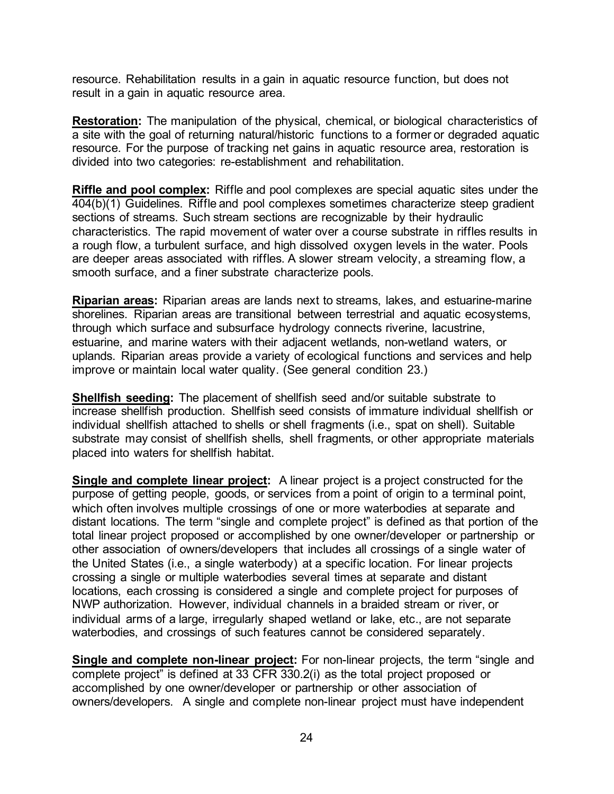resource. Rehabilitation results in a gain in aquatic resource function, but does not result in a gain in aquatic resource area.

**Restoration:** The manipulation of the physical, chemical, or biological characteristics of a site with the goal of returning natural/historic functions to a former or degraded aquatic resource. For the purpose of tracking net gains in aquatic resource area, restoration is divided into two categories: re-establishment and rehabilitation.

**Riffle and pool complex:** Riffle and pool complexes are special aquatic sites under the 404(b)(1) Guidelines. Riffle and pool complexes sometimes characterize steep gradient sections of streams. Such stream sections are recognizable by their hydraulic characteristics. The rapid movement of water over a course substrate in riffles results in a rough flow, a turbulent surface, and high dissolved oxygen levels in the water. Pools are deeper areas associated with riffles. A slower stream velocity, a streaming flow, a smooth surface, and a finer substrate characterize pools.

**Riparian areas:** Riparian areas are lands next to streams, lakes, and estuarine-marine shorelines. Riparian areas are transitional between terrestrial and aquatic ecosystems, through which surface and subsurface hydrology connects riverine, lacustrine, estuarine, and marine waters with their adjacent wetlands, non-wetland waters, or uplands. Riparian areas provide a variety of ecological functions and services and help improve or maintain local water quality. (See general condition 23.)

**Shellfish seeding:** The placement of shellfish seed and/or suitable substrate to increase shellfish production. Shellfish seed consists of immature individual shellfish or individual shellfish attached to shells or shell fragments (i.e., spat on shell). Suitable substrate may consist of shellfish shells, shell fragments, or other appropriate materials placed into waters for shellfish habitat.

**Single and complete linear project:** A linear project is a project constructed for the purpose of getting people, goods, or services from a point of origin to a terminal point, which often involves multiple crossings of one or more waterbodies at separate and distant locations. The term "single and complete project" is defined as that portion of the total linear project proposed or accomplished by one owner/developer or partnership or other association of owners/developers that includes all crossings of a single water of the United States (i.e., a single waterbody) at a specific location. For linear projects crossing a single or multiple waterbodies several times at separate and distant locations, each crossing is considered a single and complete project for purposes of NWP authorization. However, individual channels in a braided stream or river, or individual arms of a large, irregularly shaped wetland or lake, etc., are not separate waterbodies, and crossings of such features cannot be considered separately.

**Single and complete non-linear project:** For non-linear projects, the term "single and complete project" is defined at 33 CFR 330.2(i) as the total project proposed or accomplished by one owner/developer or partnership or other association of owners/developers. A single and complete non-linear project must have independent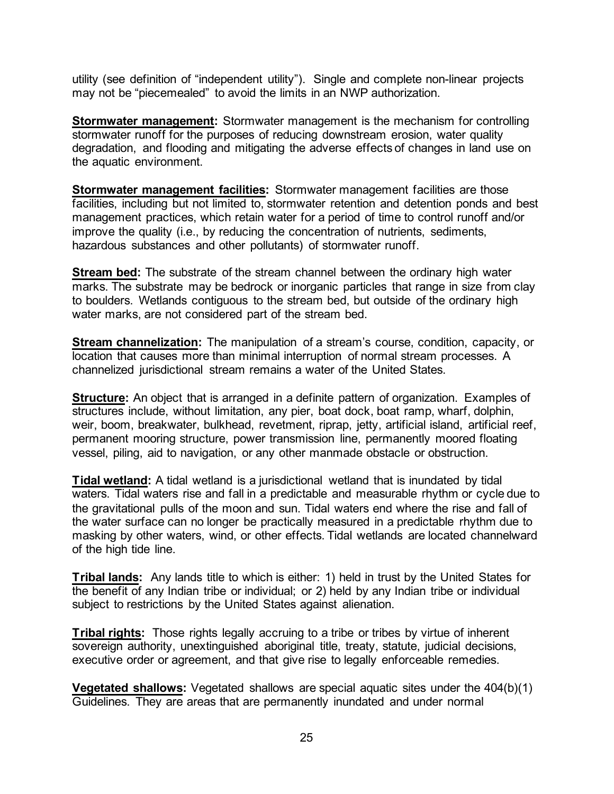utility (see definition of "independent utility"). Single and complete non-linear projects may not be "piecemealed" to avoid the limits in an NWP authorization.

**Stormwater management:** Stormwater management is the mechanism for controlling stormwater runoff for the purposes of reducing downstream erosion, water quality degradation, and flooding and mitigating the adverse effects of changes in land use on the aquatic environment.

**Stormwater management facilities:** Stormwater management facilities are those facilities, including but not limited to, stormwater retention and detention ponds and best management practices, which retain water for a period of time to control runoff and/or improve the quality (i.e., by reducing the concentration of nutrients, sediments, hazardous substances and other pollutants) of stormwater runoff.

**Stream bed:** The substrate of the stream channel between the ordinary high water marks. The substrate may be bedrock or inorganic particles that range in size from clay to boulders. Wetlands contiguous to the stream bed, but outside of the ordinary high water marks, are not considered part of the stream bed.

**Stream channelization:** The manipulation of a stream's course, condition, capacity, or location that causes more than minimal interruption of normal stream processes. A channelized jurisdictional stream remains a water of the United States.

**Structure:** An object that is arranged in a definite pattern of organization. Examples of structures include, without limitation, any pier, boat dock, boat ramp, wharf, dolphin, weir, boom, breakwater, bulkhead, revetment, riprap, jetty, artificial island, artificial reef, permanent mooring structure, power transmission line, permanently moored floating vessel, piling, aid to navigation, or any other manmade obstacle or obstruction.

**Tidal wetland:** A tidal wetland is a jurisdictional wetland that is inundated by tidal waters. Tidal waters rise and fall in a predictable and measurable rhythm or cycle due to the gravitational pulls of the moon and sun. Tidal waters end where the rise and fall of the water surface can no longer be practically measured in a predictable rhythm due to masking by other waters, wind, or other effects. Tidal wetlands are located channelward of the high tide line.

**Tribal lands:** Any lands title to which is either: 1) held in trust by the United States for the benefit of any Indian tribe or individual; or 2) held by any Indian tribe or individual subject to restrictions by the United States against alienation.

**Tribal rights:** Those rights legally accruing to a tribe or tribes by virtue of inherent sovereign authority, unextinguished aboriginal title, treaty, statute, judicial decisions, executive order or agreement, and that give rise to legally enforceable remedies.

**Vegetated shallows:** Vegetated shallows are special aquatic sites under the 404(b)(1) Guidelines. They are areas that are permanently inundated and under normal